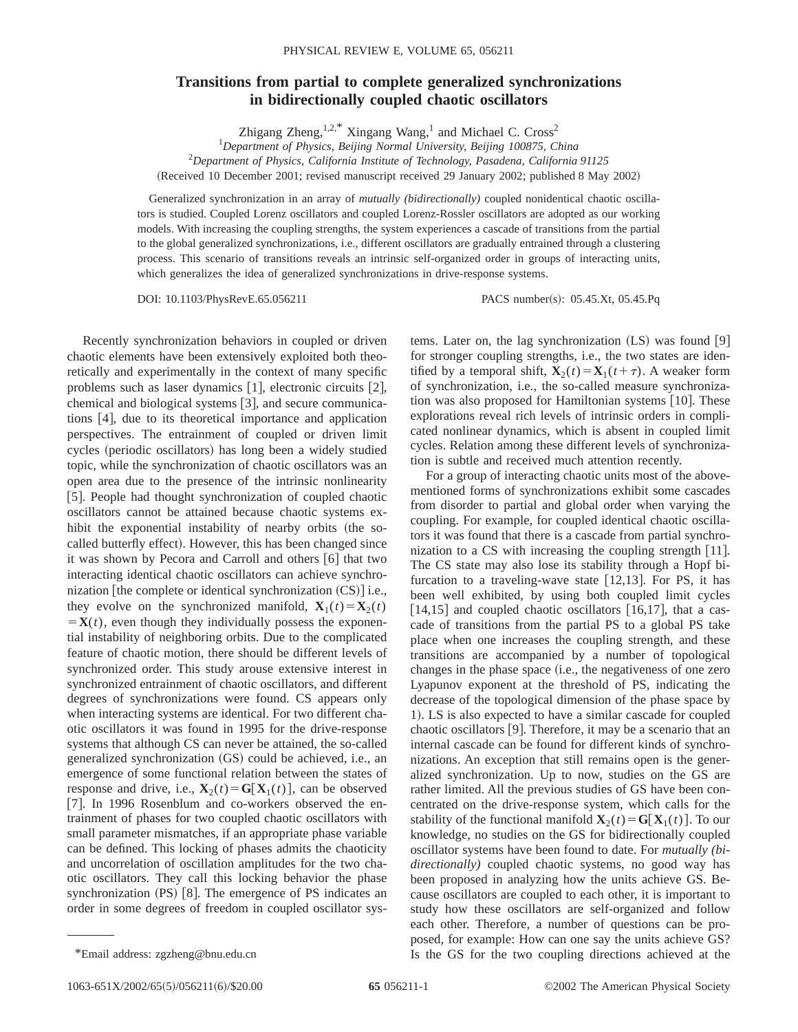## **Transitions from partial to complete generalized synchronizations in bidirectionally coupled chaotic oscillators**

Zhigang Zheng, $1,2,4$ <sup>\*</sup> Xingang Wang,<sup>1</sup> and Michael C. Cross<sup>2</sup>

1 *Department of Physics, Beijing Normal University, Beijing 100875, China*

2 *Department of Physics, California Institute of Technology, Pasadena, California 91125*

(Received 10 December 2001; revised manuscript received 29 January 2002; published 8 May 2002)

Generalized synchronization in an array of *mutually (bidirectionally)* coupled nonidentical chaotic oscillators is studied. Coupled Lorenz oscillators and coupled Lorenz-Rossler oscillators are adopted as our working models. With increasing the coupling strengths, the system experiences a cascade of transitions from the partial to the global generalized synchronizations, i.e., different oscillators are gradually entrained through a clustering process. This scenario of transitions reveals an intrinsic self-organized order in groups of interacting units, which generalizes the idea of generalized synchronizations in drive-response systems.

DOI: 10.1103/PhysRevE.65.056211 PACS number(s): 05.45.Xt, 05.45.Pq

Recently synchronization behaviors in coupled or driven chaotic elements have been extensively exploited both theoretically and experimentally in the context of many specific problems such as laser dynamics  $[1]$ , electronic circuits  $[2]$ , chemical and biological systems  $[3]$ , and secure communications  $[4]$ , due to its theoretical importance and application perspectives. The entrainment of coupled or driven limit cycles (periodic oscillators) has long been a widely studied topic, while the synchronization of chaotic oscillators was an open area due to the presence of the intrinsic nonlinearity [5]. People had thought synchronization of coupled chaotic oscillators cannot be attained because chaotic systems exhibit the exponential instability of nearby orbits (the socalled butterfly effect). However, this has been changed since it was shown by Pecora and Carroll and others  $[6]$  that two interacting identical chaotic oscillators can achieve synchronization [the complete or identical synchronization  $(CS)$ ] i.e., they evolve on the synchronized manifold,  $\mathbf{X}_1(t) = \mathbf{X}_2(t)$  $\mathbf{X}(t)$ , even though they individually possess the exponential instability of neighboring orbits. Due to the complicated feature of chaotic motion, there should be different levels of synchronized order. This study arouse extensive interest in synchronized entrainment of chaotic oscillators, and different degrees of synchronizations were found. CS appears only when interacting systems are identical. For two different chaotic oscillators it was found in 1995 for the drive-response systems that although CS can never be attained, the so-called generalized synchronization (GS) could be achieved, i.e., an emergence of some functional relation between the states of response and drive, i.e.,  $\mathbf{X}_2(t) = \mathbf{G}[\mathbf{X}_1(t)]$ , can be observed [7]. In 1996 Rosenblum and co-workers observed the entrainment of phases for two coupled chaotic oscillators with small parameter mismatches, if an appropriate phase variable can be defined. This locking of phases admits the chaoticity and uncorrelation of oscillation amplitudes for the two chaotic oscillators. They call this locking behavior the phase synchronization  $(PS)$  [8]. The emergence of PS indicates an order in some degrees of freedom in coupled oscillator systems. Later on, the lag synchronization  $(LS)$  was found  $[9]$ for stronger coupling strengths, i.e., the two states are identified by a temporal shift,  $\mathbf{X}_2(t) = \mathbf{X}_1(t+\tau)$ . A weaker form of synchronization, i.e., the so-called measure synchronization was also proposed for Hamiltonian systems  $[10]$ . These explorations reveal rich levels of intrinsic orders in complicated nonlinear dynamics, which is absent in coupled limit cycles. Relation among these different levels of synchronization is subtle and received much attention recently.

For a group of interacting chaotic units most of the abovementioned forms of synchronizations exhibit some cascades from disorder to partial and global order when varying the coupling. For example, for coupled identical chaotic oscillators it was found that there is a cascade from partial synchronization to a CS with increasing the coupling strength  $[11]$ . The CS state may also lose its stability through a Hopf bifurcation to a traveling-wave state  $[12,13]$ . For PS, it has been well exhibited, by using both coupled limit cycles  $[14,15]$  and coupled chaotic oscillators  $[16,17]$ , that a cascade of transitions from the partial PS to a global PS take place when one increases the coupling strength, and these transitions are accompanied by a number of topological changes in the phase space  $(i.e.,$  the negativeness of one zero Lyapunov exponent at the threshold of PS, indicating the decrease of the topological dimension of the phase space by 1). LS is also expected to have a similar cascade for coupled chaotic oscillators  $[9]$ . Therefore, it may be a scenario that an internal cascade can be found for different kinds of synchronizations. An exception that still remains open is the generalized synchronization. Up to now, studies on the GS are rather limited. All the previous studies of GS have been concentrated on the drive-response system, which calls for the stability of the functional manifold  $\mathbf{X}_2(t) = \mathbf{G}[\mathbf{X}_1(t)]$ . To our knowledge, no studies on the GS for bidirectionally coupled oscillator systems have been found to date. For *mutually (bidirectionally)* coupled chaotic systems, no good way has been proposed in analyzing how the units achieve GS. Because oscillators are coupled to each other, it is important to study how these oscillators are self-organized and follow each other. Therefore, a number of questions can be proposed, for example: How can one say the units achieve GS? \*Email address: zgzheng@bnu.edu.cn Is the GS for the two coupling directions achieved at the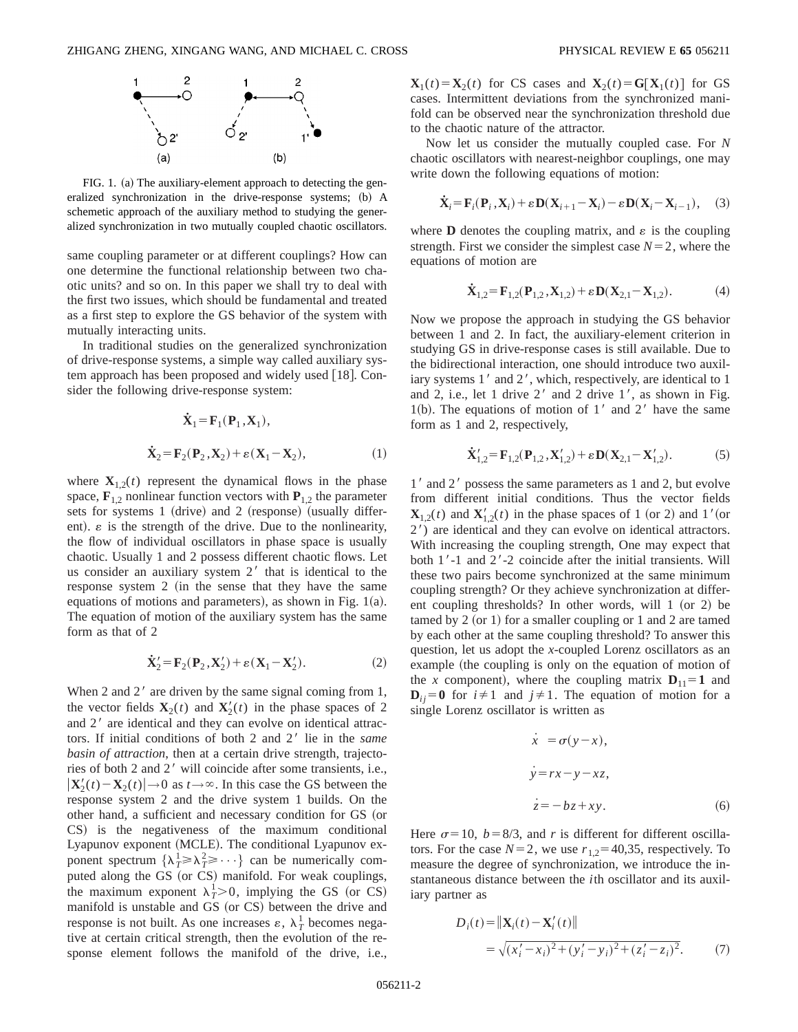

FIG. 1. (a) The auxiliary-element approach to detecting the generalized synchronization in the drive-response systems; (b) A schemetic approach of the auxiliary method to studying the generalized synchronization in two mutually coupled chaotic oscillators.

same coupling parameter or at different couplings? How can one determine the functional relationship between two chaotic units? and so on. In this paper we shall try to deal with the first two issues, which should be fundamental and treated as a first step to explore the GS behavior of the system with mutually interacting units.

In traditional studies on the generalized synchronization of drive-response systems, a simple way called auxiliary system approach has been proposed and widely used  $[18]$ . Consider the following drive-response system:

$$
\dot{\mathbf{X}}_1 = \mathbf{F}_1(\mathbf{P}_1, \mathbf{X}_1),
$$
\n
$$
\dot{\mathbf{X}}_2 = \mathbf{F}_2(\mathbf{P}_2, \mathbf{X}_2) + \varepsilon (\mathbf{X}_1 - \mathbf{X}_2),
$$
\n(1)

where  $\mathbf{X}_{1,2}(t)$  represent the dynamical flows in the phase space,  $\mathbf{F}_{1,2}$  nonlinear function vectors with  $\mathbf{P}_{1,2}$  the parameter sets for systems 1 (drive) and 2 (response) (usually different).  $\varepsilon$  is the strength of the drive. Due to the nonlinearity, the flow of individual oscillators in phase space is usually chaotic. Usually 1 and 2 possess different chaotic flows. Let us consider an auxiliary system  $2<sup>'</sup>$  that is identical to the response system  $2$  (in the sense that they have the same equations of motions and parameters), as shown in Fig.  $1(a)$ . The equation of motion of the auxiliary system has the same form as that of 2

$$
\dot{\mathbf{X}}_2' = \mathbf{F}_2(\mathbf{P}_2, \mathbf{X}_2') + \varepsilon (\mathbf{X}_1 - \mathbf{X}_2'). \tag{2}
$$

When 2 and  $2<sup>'</sup>$  are driven by the same signal coming from 1, the vector fields  $\mathbf{X}_2(t)$  and  $\mathbf{X}_2'(t)$  in the phase spaces of 2 and  $2<sup>'</sup>$  are identical and they can evolve on identical attractors. If initial conditions of both 2 and 2' lie in the *same basin of attraction*, then at a certain drive strength, trajectories of both 2 and 2' will coincide after some transients, i.e.,  $|\mathbf{X}'_2(t) - \mathbf{X}_2(t)| \rightarrow 0$  as  $t \rightarrow \infty$ . In this case the GS between the response system 2 and the drive system 1 builds. On the other hand, a sufficient and necessary condition for GS (or CS) is the negativeness of the maximum conditional Lyapunov exponent (MCLE). The conditional Lyapunov exponent spectrum  $\{\lambda_1^1 \geq \lambda_1^2 \geq \cdots\}$  can be numerically computed along the GS (or CS) manifold. For weak couplings, the maximum exponent  $\lambda_T^1 > 0$ , implying the GS (or CS) manifold is unstable and GS (or CS) between the drive and response is not built. As one increases  $\varepsilon$ ,  $\lambda_T^1$  becomes negative at certain critical strength, then the evolution of the response element follows the manifold of the drive, i.e.,  $\mathbf{X}_1(t) = \mathbf{X}_2(t)$  for CS cases and  $\mathbf{X}_2(t) = G[\mathbf{X}_1(t)]$  for GS cases. Intermittent deviations from the synchronized manifold can be observed near the synchronization threshold due to the chaotic nature of the attractor.

Now let us consider the mutually coupled case. For *N* chaotic oscillators with nearest-neighbor couplings, one may write down the following equations of motion:

$$
\dot{\mathbf{X}}_i = \mathbf{F}_i(\mathbf{P}_i, \mathbf{X}_i) + \varepsilon \mathbf{D}(\mathbf{X}_{i+1} - \mathbf{X}_i) - \varepsilon \mathbf{D}(\mathbf{X}_i - \mathbf{X}_{i-1}), \quad (3)
$$

where **D** denotes the coupling matrix, and  $\varepsilon$  is the coupling strength. First we consider the simplest case  $N=2$ , where the equations of motion are

$$
\dot{\mathbf{X}}_{1,2} = \mathbf{F}_{1,2}(\mathbf{P}_{1,2}, \mathbf{X}_{1,2}) + \varepsilon \mathbf{D}(\mathbf{X}_{2,1} - \mathbf{X}_{1,2}).
$$
 (4)

Now we propose the approach in studying the GS behavior between 1 and 2. In fact, the auxiliary-element criterion in studying GS in drive-response cases is still available. Due to the bidirectional interaction, one should introduce two auxiliary systems  $1'$  and  $2'$ , which, respectively, are identical to  $1$ and 2, i.e., let 1 drive  $2'$  and 2 drive  $1'$ , as shown in Fig. 1(b). The equations of motion of  $1'$  and  $2'$  have the same form as 1 and 2, respectively,

$$
\dot{\mathbf{X}}'_{1,2} = \mathbf{F}_{1,2}(\mathbf{P}_{1,2}, \mathbf{X}'_{1,2}) + \varepsilon \mathbf{D}(\mathbf{X}_{2,1} - \mathbf{X}'_{1,2}).
$$
 (5)

1' and 2' possess the same parameters as 1 and 2, but evolve from different initial conditions. Thus the vector fields  $\mathbf{X}_{1,2}(t)$  and  $\mathbf{X}'_{1,2}(t)$  in the phase spaces of 1 (or 2) and 1'(or 2') are identical and they can evolve on identical attractors. With increasing the coupling strength, One may expect that both  $1'-1$  and  $2'-2$  coincide after the initial transients. Will these two pairs become synchronized at the same minimum coupling strength? Or they achieve synchronization at different coupling thresholds? In other words, will  $1 ~ (or 2)$  be tamed by 2 (or 1) for a smaller coupling or 1 and 2 are tamed by each other at the same coupling threshold? To answer this question, let us adopt the *x*-coupled Lorenz oscillators as an example (the coupling is only on the equation of motion of the *x* component), where the coupling matrix  $D_{11} = 1$  and  $D_{ii} = 0$  for  $i \neq 1$  and  $j \neq 1$ . The equation of motion for a single Lorenz oscillator is written as

$$
\begin{aligned}\n\dot{x} &= \sigma(y - x), \\
\dot{y} &= rx - y - xz, \\
\dot{z} &= -bz + xy.\n\end{aligned}
$$
\n(6)

Here  $\sigma$ =10, *b*=8/3, and *r* is different for different oscillators. For the case  $N=2$ , we use  $r_{1,2}=40,35$ , respectively. To measure the degree of synchronization, we introduce the instantaneous distance between the *i*th oscillator and its auxiliary partner as

$$
D_i(t) = \|\mathbf{X}_i(t) - \mathbf{X}_i'(t)\|
$$
  
=  $\sqrt{(x_i' - x_i)^2 + (y_i' - y_i)^2 + (z_i' - z_i)^2}$ . (7)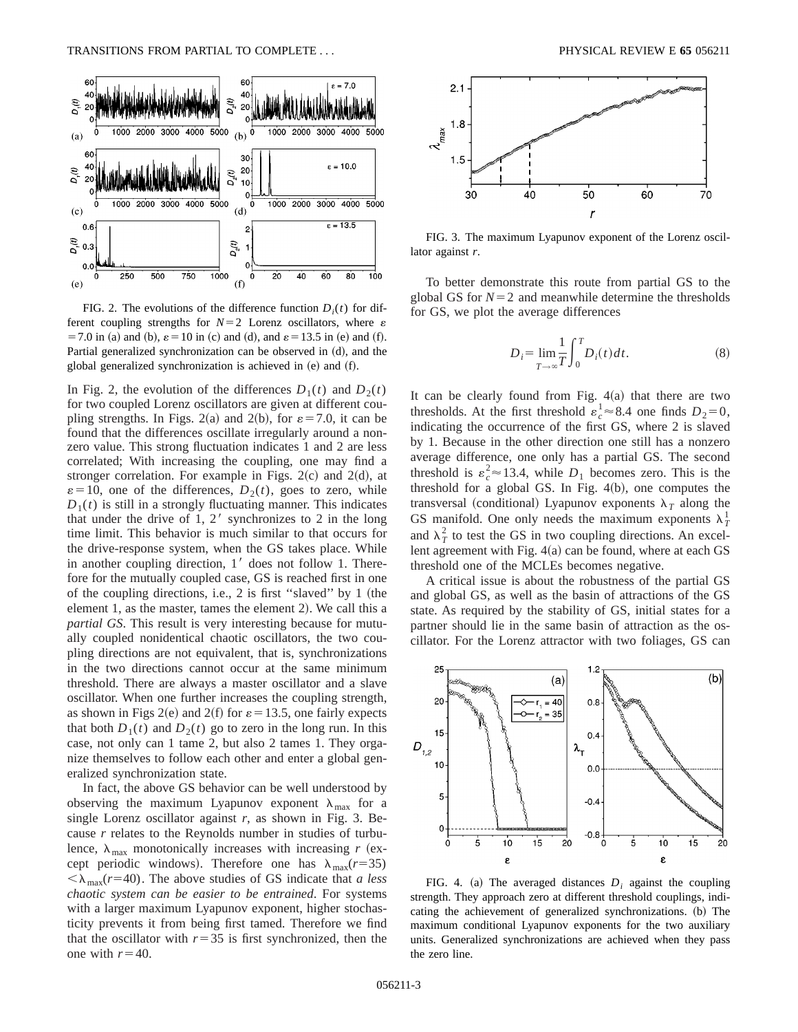

FIG. 2. The evolutions of the difference function  $D_i(t)$  for different coupling strengths for  $N=2$  Lorenz oscillators, where  $\varepsilon$  $=$  7.0 in (a) and (b),  $\varepsilon$  = 10 in (c) and (d), and  $\varepsilon$  = 13.5 in (e) and (f). Partial generalized synchronization can be observed in  $(d)$ , and the global generalized synchronization is achieved in  $(e)$  and  $(f)$ .

In Fig. 2, the evolution of the differences  $D_1(t)$  and  $D_2(t)$ for two coupled Lorenz oscillators are given at different coupling strengths. In Figs. 2(a) and 2(b), for  $\varepsilon$  = 7.0, it can be found that the differences oscillate irregularly around a nonzero value. This strong fluctuation indicates 1 and 2 are less correlated; With increasing the coupling, one may find a stronger correlation. For example in Figs.  $2(c)$  and  $2(d)$ , at  $\varepsilon = 10$ , one of the differences,  $D_2(t)$ , goes to zero, while  $D_1(t)$  is still in a strongly fluctuating manner. This indicates that under the drive of 1,  $2<sup>'</sup>$  synchronizes to 2 in the long time limit. This behavior is much similar to that occurs for the drive-response system, when the GS takes place. While in another coupling direction,  $1'$  does not follow 1. Therefore for the mutually coupled case, GS is reached first in one of the coupling directions, i.e., 2 is first "slaved" by  $1$  (the element 1, as the master, tames the element 2). We call this a *partial GS*. This result is very interesting because for mutually coupled nonidentical chaotic oscillators, the two coupling directions are not equivalent, that is, synchronizations in the two directions cannot occur at the same minimum threshold. There are always a master oscillator and a slave oscillator. When one further increases the coupling strength, as shown in Figs 2(e) and 2(f) for  $\varepsilon$  = 13.5, one fairly expects that both  $D_1(t)$  and  $D_2(t)$  go to zero in the long run. In this case, not only can 1 tame 2, but also 2 tames 1. They organize themselves to follow each other and enter a global generalized synchronization state.

In fact, the above GS behavior can be well understood by observing the maximum Lyapunov exponent  $\lambda_{\text{max}}$  for a single Lorenz oscillator against *r*, as shown in Fig. 3. Because *r* relates to the Reynolds number in studies of turbulence,  $\lambda_{\text{max}}$  monotonically increases with increasing *r* (except periodic windows). Therefore one has  $\lambda_{\text{max}}(r=35)$  $\langle \lambda_{\text{max}}(r=40)$ . The above studies of GS indicate that *a less chaotic system can be easier to be entrained*. For systems with a larger maximum Lyapunov exponent, higher stochasticity prevents it from being first tamed. Therefore we find that the oscillator with  $r=35$  is first synchronized, then the one with  $r=40$ .



FIG. 3. The maximum Lyapunov exponent of the Lorenz oscillator against *r*.

To better demonstrate this route from partial GS to the global GS for  $N=2$  and meanwhile determine the thresholds for GS, we plot the average differences

$$
D_i = \lim_{T \to \infty} \frac{1}{T} \int_0^T D_i(t) dt.
$$
 (8)

It can be clearly found from Fig.  $4(a)$  that there are two thresholds. At the first threshold  $\varepsilon_c^1 \approx 8.4$  one finds  $D_2 = 0$ , indicating the occurrence of the first GS, where 2 is slaved by 1. Because in the other direction one still has a nonzero average difference, one only has a partial GS. The second threshold is  $\varepsilon_c^2 \approx 13.4$ , while  $D_1$  becomes zero. This is the threshold for a global GS. In Fig.  $4(b)$ , one computes the transversal (conditional) Lyapunov exponents  $\lambda_T$  along the GS manifold. One only needs the maximum exponents  $\lambda_T^1$ and  $\lambda_T^2$  to test the GS in two coupling directions. An excellent agreement with Fig.  $4(a)$  can be found, where at each GS threshold one of the MCLEs becomes negative.

A critical issue is about the robustness of the partial GS and global GS, as well as the basin of attractions of the GS state. As required by the stability of GS, initial states for a partner should lie in the same basin of attraction as the oscillator. For the Lorenz attractor with two foliages, GS can



FIG. 4. (a) The averaged distances  $D_i$  against the coupling strength. They approach zero at different threshold couplings, indicating the achievement of generalized synchronizations. (b) The maximum conditional Lyapunov exponents for the two auxiliary units. Generalized synchronizations are achieved when they pass the zero line.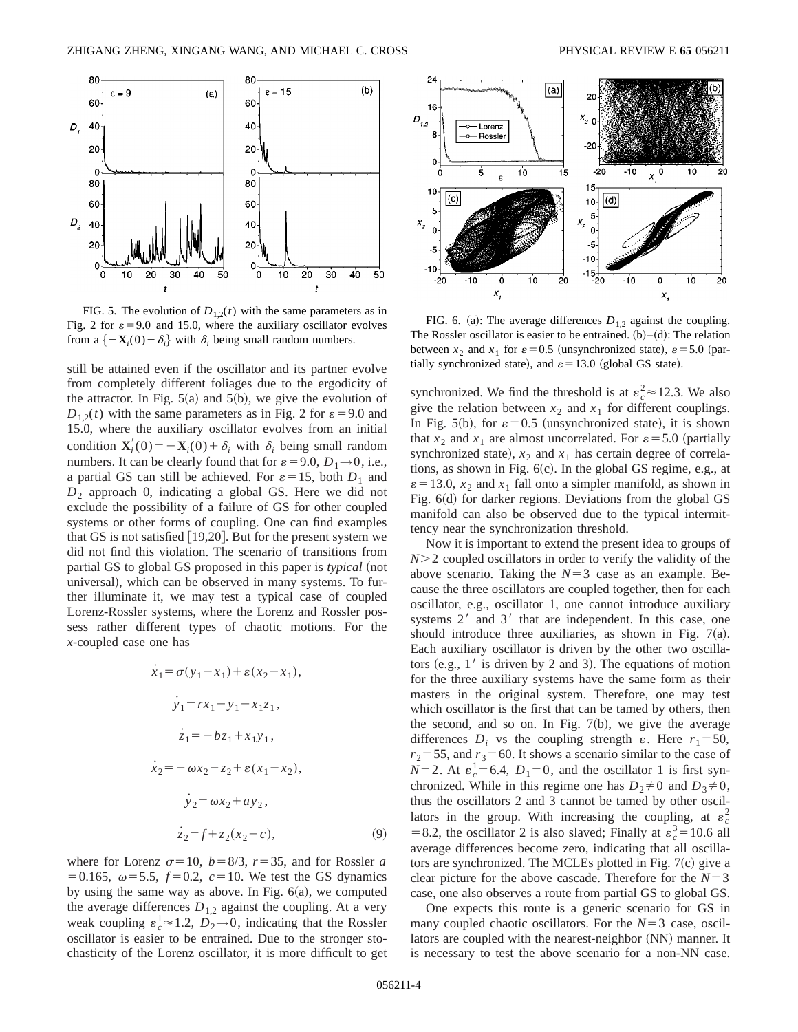

FIG. 5. The evolution of  $D_{1,2}(t)$  with the same parameters as in Fig. 2 for  $\varepsilon$ =9.0 and 15.0, where the auxiliary oscillator evolves from a  $\{-\mathbf{X}_i(0)+\delta_i\}$  with  $\delta_i$  being small random numbers.

still be attained even if the oscillator and its partner evolve from completely different foliages due to the ergodicity of the attractor. In Fig.  $5(a)$  and  $5(b)$ , we give the evolution of  $D_{1,2}(t)$  with the same parameters as in Fig. 2 for  $\varepsilon = 9.0$  and 15.0, where the auxiliary oscillator evolves from an initial condition  $\mathbf{X}'_i(0) = -\mathbf{X}_i(0) + \delta_i$  with  $\delta_i$  being small random numbers. It can be clearly found that for  $\varepsilon = 9.0, D_1 \rightarrow 0$ , i.e., a partial GS can still be achieved. For  $\varepsilon = 15$ , both  $D_1$  and *D*<sup>2</sup> approach 0, indicating a global GS. Here we did not exclude the possibility of a failure of GS for other coupled systems or other forms of coupling. One can find examples that GS is not satisfied  $[19,20]$ . But for the present system we did not find this violation. The scenario of transitions from partial GS to global GS proposed in this paper is *typical* (not universal), which can be observed in many systems. To further illuminate it, we may test a typical case of coupled Lorenz-Rossler systems, where the Lorenz and Rossler possess rather different types of chaotic motions. For the *x*-coupled case one has

$$
\dot{x}_1 = \sigma(y_1 - x_1) + \varepsilon(x_2 - x_1),
$$
  
\n
$$
\dot{y}_1 = rx_1 - y_1 - x_1z_1,
$$
  
\n
$$
\dot{z}_1 = -bz_1 + x_1y_1,
$$
  
\n
$$
\dot{x}_2 = -\omega x_2 - z_2 + \varepsilon(x_1 - x_2),
$$
  
\n
$$
\dot{y}_2 = \omega x_2 + ay_2,
$$
  
\n
$$
\dot{z}_2 = f + z_2(x_2 - c),
$$
\n(9)

where for Lorenz  $\sigma$ =10, *b*=8/3, *r*=35, and for Rossler *a*  $=0.165$ ,  $\omega = 5.5$ ,  $f=0.2$ ,  $c=10$ . We test the GS dynamics by using the same way as above. In Fig.  $6(a)$ , we computed the average differences  $D_{1,2}$  against the coupling. At a very weak coupling  $\varepsilon_c^1 \approx 1.2$ ,  $D_2 \rightarrow 0$ , indicating that the Rossler oscillator is easier to be entrained. Due to the stronger stochasticity of the Lorenz oscillator, it is more difficult to get



FIG. 6. (a): The average differences  $D_{1,2}$  against the coupling. The Rossler oscillator is easier to be entrained.  $(b)$ – $(d)$ : The relation between  $x_2$  and  $x_1$  for  $\varepsilon = 0.5$  (unsynchronized state),  $\varepsilon = 5.0$  (partially synchronized state), and  $\varepsilon = 13.0$  (global GS state).

synchronized. We find the threshold is at  $\varepsilon_c^2 \approx 12.3$ . We also give the relation between  $x_2$  and  $x_1$  for different couplings. In Fig. 5(b), for  $\varepsilon = 0.5$  (unsynchronized state), it is shown that  $x_2$  and  $x_1$  are almost uncorrelated. For  $\varepsilon = 5.0$  (partially synchronized state),  $x_2$  and  $x_1$  has certain degree of correlations, as shown in Fig.  $6(c)$ . In the global GS regime, e.g., at  $\varepsilon$  = 13.0,  $x_2$  and  $x_1$  fall onto a simpler manifold, as shown in Fig.  $6(d)$  for darker regions. Deviations from the global GS manifold can also be observed due to the typical intermittency near the synchronization threshold.

Now it is important to extend the present idea to groups of  $N$   $>$  2 coupled oscillators in order to verify the validity of the above scenario. Taking the  $N=3$  case as an example. Because the three oscillators are coupled together, then for each oscillator, e.g., oscillator 1, one cannot introduce auxiliary systems  $2<sup>'</sup>$  and  $3<sup>'</sup>$  that are independent. In this case, one should introduce three auxiliaries, as shown in Fig.  $7(a)$ . Each auxiliary oscillator is driven by the other two oscillators  $(e.g., 1'$  is driven by 2 and 3). The equations of motion for the three auxiliary systems have the same form as their masters in the original system. Therefore, one may test which oscillator is the first that can be tamed by others, then the second, and so on. In Fig.  $7(b)$ , we give the average differences  $D_i$  vs the coupling strength  $\varepsilon$ . Here  $r_1 = 50$ ,  $r_2$ =55, and  $r_3$ =60. It shows a scenario similar to the case of  $N=2$ . At  $\varepsilon_c^1=6.4$ ,  $D_1=0$ , and the oscillator 1 is first synchronized. While in this regime one has  $D_2 \neq 0$  and  $D_3 \neq 0$ , thus the oscillators 2 and 3 cannot be tamed by other oscillators in the group. With increasing the coupling, at  $\varepsilon_c^2$ = 8.2, the oscillator 2 is also slaved; Finally at  $\varepsilon_c^3$  = 10.6 all average differences become zero, indicating that all oscillators are synchronized. The MCLEs plotted in Fig.  $7(c)$  give a clear picture for the above cascade. Therefore for the  $N=3$ case, one also observes a route from partial GS to global GS.

One expects this route is a generic scenario for GS in many coupled chaotic oscillators. For the  $N=3$  case, oscillators are coupled with the nearest-neighbor (NN) manner. It is necessary to test the above scenario for a non-NN case.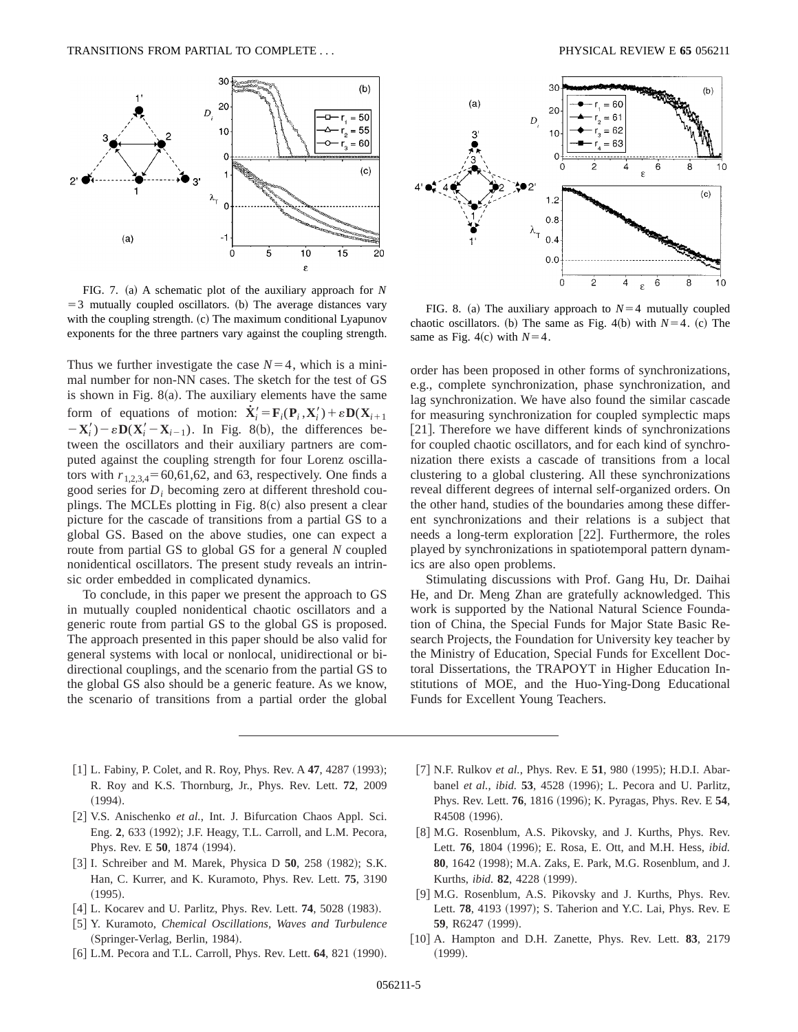

FIG. 7. (a) A schematic plot of the auxiliary approach for  $N$  $=$  3 mutually coupled oscillators. (b) The average distances vary with the coupling strength.  $(c)$  The maximum conditional Lyapunov exponents for the three partners vary against the coupling strength.

Thus we further investigate the case  $N=4$ , which is a minimal number for non-NN cases. The sketch for the test of GS is shown in Fig.  $8(a)$ . The auxiliary elements have the same form of equations of motion:  $\dot{\mathbf{X}}'_i = \mathbf{F}_i(\mathbf{P}_i, \mathbf{X}'_i) + \varepsilon \mathbf{D}(\mathbf{X}_{i+1})$  $-\mathbf{X}'_i$ ) –  $\varepsilon \mathbf{D}(\mathbf{X}'_i - \mathbf{X}_{i-1})$ . In Fig. 8(b), the differences between the oscillators and their auxiliary partners are computed against the coupling strength for four Lorenz oscillators with  $r_{1,2,3,4}$ = 60,61,62, and 63, respectively. One finds a good series for *Di* becoming zero at different threshold couplings. The MCLEs plotting in Fig.  $8(c)$  also present a clear picture for the cascade of transitions from a partial GS to a global GS. Based on the above studies, one can expect a route from partial GS to global GS for a general *N* coupled nonidentical oscillators. The present study reveals an intrinsic order embedded in complicated dynamics.

To conclude, in this paper we present the approach to GS in mutually coupled nonidentical chaotic oscillators and a generic route from partial GS to the global GS is proposed. The approach presented in this paper should be also valid for general systems with local or nonlocal, unidirectional or bidirectional couplings, and the scenario from the partial GS to the global GS also should be a generic feature. As we know, the scenario of transitions from a partial order the global



FIG. 8. (a) The auxiliary approach to  $N=4$  mutually coupled chaotic oscillators. (b) The same as Fig. 4(b) with  $N=4$ . (c) The same as Fig. 4(c) with  $N=4$ .

order has been proposed in other forms of synchronizations, e.g., complete synchronization, phase synchronization, and lag synchronization. We have also found the similar cascade for measuring synchronization for coupled symplectic maps [21]. Therefore we have different kinds of synchronizations for coupled chaotic oscillators, and for each kind of synchronization there exists a cascade of transitions from a local clustering to a global clustering. All these synchronizations reveal different degrees of internal self-organized orders. On the other hand, studies of the boundaries among these different synchronizations and their relations is a subject that needs a long-term exploration  $[22]$ . Furthermore, the roles played by synchronizations in spatiotemporal pattern dynamics are also open problems.

Stimulating discussions with Prof. Gang Hu, Dr. Daihai He, and Dr. Meng Zhan are gratefully acknowledged. This work is supported by the National Natural Science Foundation of China, the Special Funds for Major State Basic Research Projects, the Foundation for University key teacher by the Ministry of Education, Special Funds for Excellent Doctoral Dissertations, the TRAPOYT in Higher Education Institutions of MOE, and the Huo-Ying-Dong Educational Funds for Excellent Young Teachers.

- $[1]$  L. Fabiny, P. Colet, and R. Roy, Phys. Rev. A **47**, 4287 (1993); R. Roy and K.S. Thornburg, Jr., Phys. Rev. Lett. **72**, 2009  $(1994).$
- [2] V.S. Anischenko et al., Int. J. Bifurcation Chaos Appl. Sci. Eng. 2, 633 (1992); J.F. Heagy, T.L. Carroll, and L.M. Pecora, Phys. Rev. E **50**, 1874 (1994).
- [3] I. Schreiber and M. Marek, Physica D **50**, 258 (1982); S.K. Han, C. Kurrer, and K. Kuramoto, Phys. Rev. Lett. **75**, 3190  $(1995).$
- [4] L. Kocarev and U. Parlitz, Phys. Rev. Lett. **74**, 5028 (1983).
- [5] Y. Kuramoto, *Chemical Oscillations*, *Waves and Turbulence* (Springer-Verlag, Berlin, 1984).
- [6] L.M. Pecora and T.L. Carroll, Phys. Rev. Lett. **64**, 821 (1990).
- [7] N.F. Rulkov *et al.*, Phys. Rev. E **51**, 980 (1995); H.D.I. Abarbanel *et al.*, *ibid.* **53**, 4528 (1996); L. Pecora and U. Parlitz, Phys. Rev. Lett. **76**, 1816 (1996); K. Pyragas, Phys. Rev. E **54**, R4508 (1996).
- [8] M.G. Rosenblum, A.S. Pikovsky, and J. Kurths, Phys. Rev. Lett. **76**, 1804 (1996); E. Rosa, E. Ott, and M.H. Hess, *ibid.* 80, 1642 (1998); M.A. Zaks, E. Park, M.G. Rosenblum, and J. Kurths, *ibid.* **82**, 4228 (1999).
- [9] M.G. Rosenblum, A.S. Pikovsky and J. Kurths, Phys. Rev. Lett. **78**, 4193 (1997); S. Taherion and Y.C. Lai, Phys. Rev. E **59**, R6247 (1999).
- @10# A. Hampton and D.H. Zanette, Phys. Rev. Lett. **83**, 2179  $(1999).$